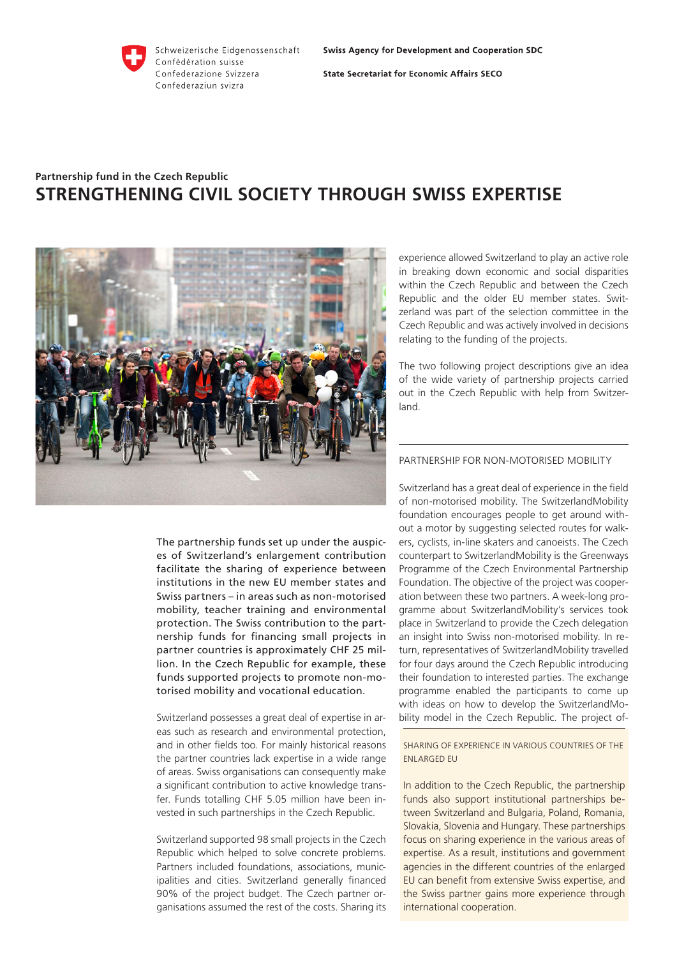

Schweizerische Eidgenossenschaft Confédération suisse Confederazione Svizzera Confederaziun svizra

**State Secretariat for Economic Affairs SECO** 

# **Partnership fund in the Czech Republic STRENGTHENING CIVIL SOCIETY THROUGH SWISS EXPERTISE**



The partnership funds set up under the auspices of Switzerland's enlargement contribution facilitate the sharing of experience between institutions in the new EU member states and Swiss partners – in areas such as non-motorised mobility, teacher training and environmental protection. The Swiss contribution to the partnership funds for financing small projects in partner countries is approximately CHF 25 million. In the Czech Republic for example, these funds supported projects to promote non-motorised mobility and vocational education.

Switzerland possesses a great deal of expertise in areas such as research and environmental protection, and in other fields too. For mainly historical reasons the partner countries lack expertise in a wide range of areas. Swiss organisations can consequently make a significant contribution to active knowledge transfer. Funds totalling CHF 5.05 million have been invested in such partnerships in the Czech Republic.

Switzerland supported 98 small projects in the Czech Republic which helped to solve concrete problems. Partners included foundations, associations, municipalities and cities. Switzerland generally financed 90% of the project budget. The Czech partner organisations assumed the rest of the costs. Sharing its experience allowed Switzerland to play an active role in breaking down economic and social disparities within the Czech Republic and between the Czech Republic and the older EU member states. Switzerland was part of the selection committee in the Czech Republic and was actively involved in decisions relating to the funding of the projects.

The two following project descriptions give an idea of the wide variety of partnership projects carried out in the Czech Republic with help from Switzerland.

## PARTNERSHIP FOR NON-MOTORISED MOBILITY

Switzerland has a great deal of experience in the field of non-motorised mobility. The SwitzerlandMobility foundation encourages people to get around without a motor by suggesting selected routes for walkers, cyclists, in-line skaters and canoeists. The Czech counterpart to SwitzerlandMobility is the Greenways Programme of the Czech Environmental Partnership Foundation. The objective of the project was cooperation between these two partners. A week-long programme about SwitzerlandMobility's services took place in Switzerland to provide the Czech delegation an insight into Swiss non-motorised mobility. In return, representatives of SwitzerlandMobility travelled for four days around the Czech Republic introducing their foundation to interested parties. The exchange programme enabled the participants to come up with ideas on how to develop the SwitzerlandMobility model in the Czech Republic. The project of-

SHARING OF EXPERIENCE IN VARIOUS COUNTRIES OF THE ENLARGED EU

In addition to the Czech Republic, the partnership funds also support institutional partnerships between Switzerland and Bulgaria, Poland, Romania, Slovakia, Slovenia and Hungary. These partnerships focus on sharing experience in the various areas of expertise. As a result, institutions and government agencies in the different countries of the enlarged EU can benefit from extensive Swiss expertise, and the Swiss partner gains more experience through international cooperation.